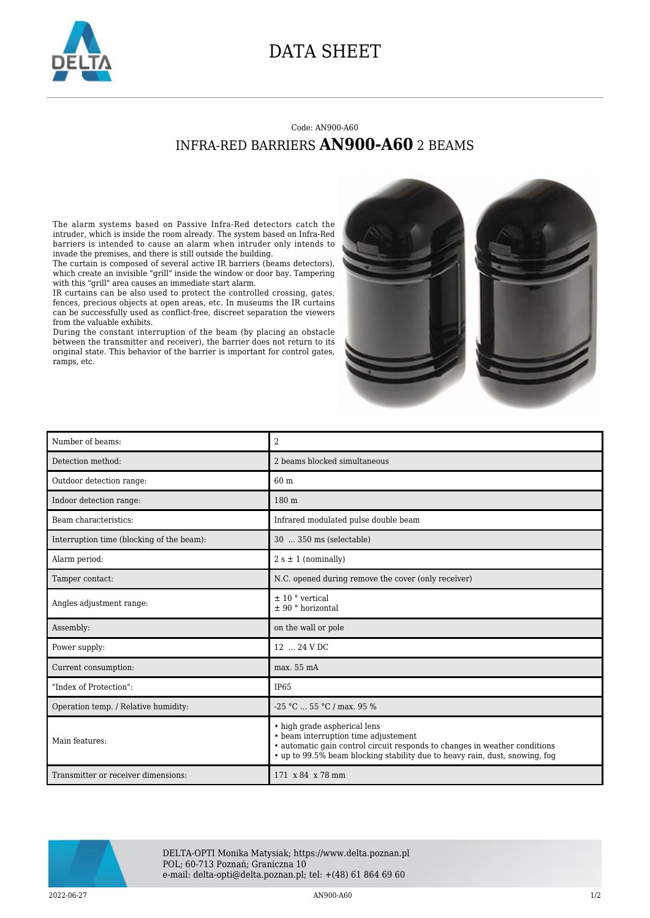

## DATA SHEET

## Code: AN900-A60 INFRA-RED BARRIERS **AN900-A60** 2 BEAMS

The alarm systems based on Passive Infra-Red detectors catch the intruder, which is inside the room already. The system based on Infra-Red barriers is intended to cause an alarm when intruder only intends to invade the premises, and there is still outside the building.

The curtain is composed of several active IR barriers (beams detectors), which create an invisible "grill" inside the window or door bay. Tampering with this "grill" area causes an immediate start alarm.

IR curtains can be also used to protect the controlled crossing, gates, fences, precious objects at open areas, etc. In museums the IR curtains can be successfully used as conflict-free, discreet separation the viewers from the valuable exhibits.

During the constant interruption of the beam (by placing an obstacle between the transmitter and receiver), the barrier does not return to its original state. This behavior of the barrier is important for control gates, ramps, etc.



| Number of beams:                          | $\overline{2}$                                                                                                                                                                                                                    |
|-------------------------------------------|-----------------------------------------------------------------------------------------------------------------------------------------------------------------------------------------------------------------------------------|
| Detection method:                         | 2 beams blocked simultaneous                                                                                                                                                                                                      |
| Outdoor detection range:                  | 60 m                                                                                                                                                                                                                              |
| Indoor detection range:                   | 180 m                                                                                                                                                                                                                             |
| Beam characteristics:                     | Infrared modulated pulse double beam                                                                                                                                                                                              |
| Interruption time (blocking of the beam): | 30  350 ms (selectable)                                                                                                                                                                                                           |
| Alarm period:                             | $2 s \pm 1$ (nominally)                                                                                                                                                                                                           |
| Tamper contact:                           | N.C. opened during remove the cover (only receiver)                                                                                                                                                                               |
| Angles adjustment range:                  | $\pm$ 10 ° vertical<br>$± 90 °$ horizontal                                                                                                                                                                                        |
| Assembly:                                 | on the wall or pole                                                                                                                                                                                                               |
| Power supply:                             | 12  24 V DC                                                                                                                                                                                                                       |
| Current consumption:                      | max. 55 mA                                                                                                                                                                                                                        |
| "Index of Protection":                    | IP65                                                                                                                                                                                                                              |
| Operation temp. / Relative humidity:      | $-25$ °C  55 °C / max. 95 %                                                                                                                                                                                                       |
| Main features:                            | • high grade aspherical lens<br>• beam interruption time adjustement<br>• automatic gain control circuit responds to changes in weather conditions<br>• up to 99.5% beam blocking stability due to heavy rain, dust, snowing, fog |
| Transmitter or receiver dimensions:       | 171 x 84 x 78 mm                                                                                                                                                                                                                  |



DELTA-OPTI Monika Matysiak; https://www.delta.poznan.pl POL; 60-713 Poznań; Graniczna 10 e-mail: delta-opti@delta.poznan.pl; tel: +(48) 61 864 69 60